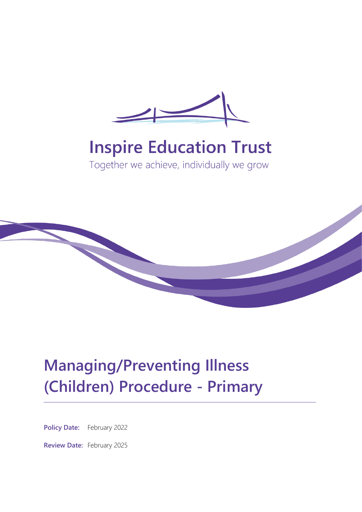

# **Inspire Education Trust**

Together we achieve, individually we grow



# **Managing/Preventing Illness (Children) Procedure - Primary**

**Policy Date:** February 2022

**Review Date:** February 2025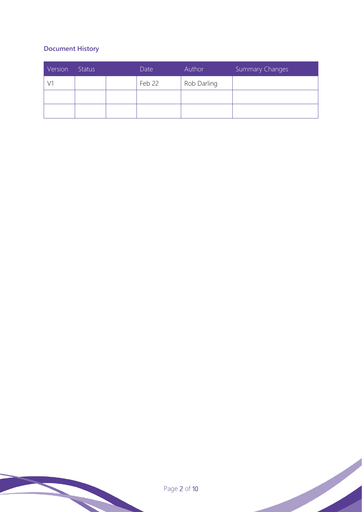# **Document History**

| Version | <b>Status</b> | Date   | Author      | Summary Changes |
|---------|---------------|--------|-------------|-----------------|
|         |               | Feb 22 | Rob Darling |                 |
|         |               |        |             |                 |
|         |               |        |             |                 |

Page 2 of 10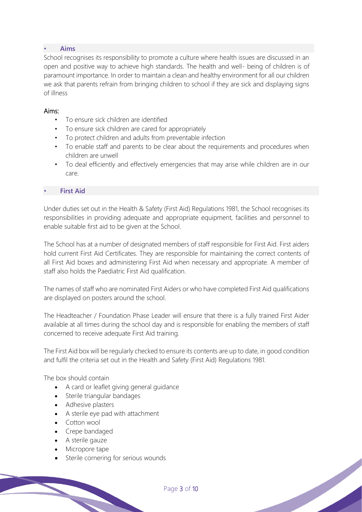### • **Aims**

School recognises its responsibility to promote a culture where health issues are discussed in an open and positive way to achieve high standards. The health and well- being of children is of paramount importance. In order to maintain a clean and healthy environment for all our children we ask that parents refrain from bringing children to school if they are sick and displaying signs of illness

#### Aims:

- To ensure sick children are identified
- To ensure sick children are cared for appropriately
- To protect children and adults from preventable infection
- To enable staff and parents to be clear about the requirements and procedures when children are unwell
- To deal efficiently and effectively emergencies that may arise while children are in our care.

### **First Aid**

Under duties set out in the Health & Safety (First Aid) Regulations 1981, the School recognises its responsibilities in providing adequate and appropriate equipment, facilities and personnel to enable suitable first aid to be given at the School.

The School has at a number of designated members of staff responsible for First Aid. First aiders hold current First Aid Certificates. They are responsible for maintaining the correct contents of all First Aid boxes and administering First Aid when necessary and appropriate. A member of staff also holds the Paediatric First Aid qualification.

The names of staff who are nominated First Aiders or who have completed First Aid qualifications are displayed on posters around the school.

The Headteacher / Foundation Phase Leader will ensure that there is a fully trained First Aider available at all times during the school day and is responsible for enabling the members of staff concerned to receive adequate First Aid training.

The First Aid box will be regularly checked to ensure its contents are up to date, in good condition and fulfil the criteria set out in the Health and Safety (First Aid) Regulations 1981.

The box should contain

- A card or leaflet giving general guidance
- Sterile triangular bandages
- Adhesive plasters
- A sterile eye pad with attachment
- Cotton wool
- Crepe bandaged
- A sterile gauze
- Micropore tape
- Sterile cornering for serious wounds

Page 3 of 10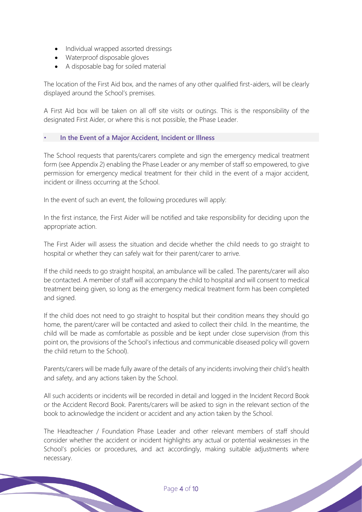- Individual wrapped assorted dressings
- Waterproof disposable gloves
- A disposable bag for soiled material

The location of the First Aid box, and the names of any other qualified first-aiders, will be clearly displayed around the School's premises.

A First Aid box will be taken on all off site visits or outings. This is the responsibility of the designated First Aider, or where this is not possible, the Phase Leader.

# • **In the Event of a Major Accident, Incident or Illness**

The School requests that parents/carers complete and sign the emergency medical treatment form (see Appendix 2) enabling the Phase Leader or any member of staff so empowered, to give permission for emergency medical treatment for their child in the event of a major accident, incident or illness occurring at the School.

In the event of such an event, the following procedures will apply:

In the first instance, the First Aider will be notified and take responsibility for deciding upon the appropriate action.

The First Aider will assess the situation and decide whether the child needs to go straight to hospital or whether they can safely wait for their parent/carer to arrive.

If the child needs to go straight hospital, an ambulance will be called. The parents/carer will also be contacted. A member of staff will accompany the child to hospital and will consent to medical treatment being given, so long as the emergency medical treatment form has been completed and signed.

If the child does not need to go straight to hospital but their condition means they should go home, the parent/carer will be contacted and asked to collect their child. In the meantime, the child will be made as comfortable as possible and be kept under close supervision (from this point on, the provisions of the School's infectious and communicable diseased policy will govern the child return to the School).

Parents/carers will be made fully aware of the details of any incidents involving their child's health and safety, and any actions taken by the School.

All such accidents or incidents will be recorded in detail and logged in the Incident Record Book or the Accident Record Book. Parents/carers will be asked to sign in the relevant section of the book to acknowledge the incident or accident and any action taken by the School.

The Headteacher / Foundation Phase Leader and other relevant members of staff should consider whether the accident or incident highlights any actual or potential weaknesses in the School's policies or procedures, and act accordingly, making suitable adjustments where necessary.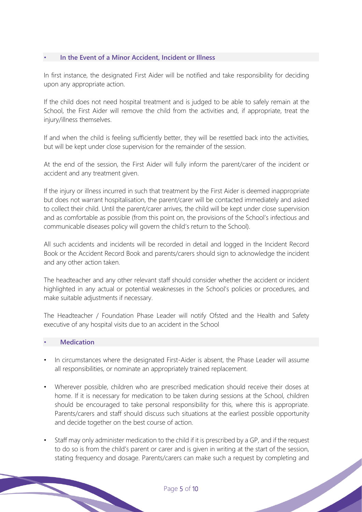### • **In the Event of a Minor Accident, Incident or Illness**

In first instance, the designated First Aider will be notified and take responsibility for deciding upon any appropriate action.

If the child does not need hospital treatment and is judged to be able to safely remain at the School, the First Aider will remove the child from the activities and, if appropriate, treat the injury/illness themselves.

If and when the child is feeling sufficiently better, they will be resettled back into the activities, but will be kept under close supervision for the remainder of the session.

At the end of the session, the First Aider will fully inform the parent/carer of the incident or accident and any treatment given.

If the injury or illness incurred in such that treatment by the First Aider is deemed inappropriate but does not warrant hospitalisation, the parent/carer will be contacted immediately and asked to collect their child. Until the parent/carer arrives, the child will be kept under close supervision and as comfortable as possible (from this point on, the provisions of the School's infectious and communicable diseases policy will govern the child's return to the School).

All such accidents and incidents will be recorded in detail and logged in the Incident Record Book or the Accident Record Book and parents/carers should sign to acknowledge the incident and any other action taken.

The headteacher and any other relevant staff should consider whether the accident or incident highlighted in any actual or potential weaknesses in the School's policies or procedures, and make suitable adjustments if necessary.

The Headteacher / Foundation Phase Leader will notify Ofsted and the Health and Safety executive of any hospital visits due to an accident in the School

#### • **Medication**

- In circumstances where the designated First-Aider is absent, the Phase Leader will assume all responsibilities, or nominate an appropriately trained replacement.
- Wherever possible, children who are prescribed medication should receive their doses at home. If it is necessary for medication to be taken during sessions at the School, children should be encouraged to take personal responsibility for this, where this is appropriate. Parents/carers and staff should discuss such situations at the earliest possible opportunity and decide together on the best course of action.
- Staff may only administer medication to the child if it is prescribed by a GP, and if the request to do so is from the child's parent or carer and is given in writing at the start of the session, stating frequency and dosage. Parents/carers can make such a request by completing and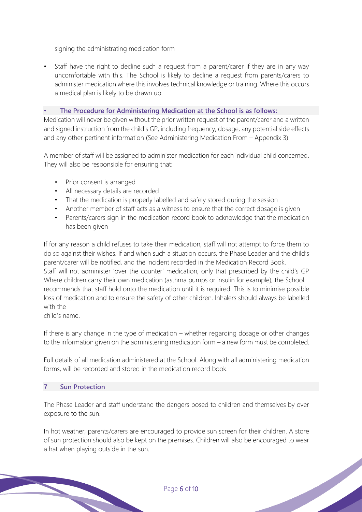signing the administrating medication form

Staff have the right to decline such a request from a parent/carer if they are in any way uncomfortable with this. The School is likely to decline a request from parents/carers to administer medication where this involves technical knowledge or training. Where this occurs a medical plan is likely to be drawn up.

## • **The Procedure for Administering Medication at the School is as follows:**

Medication will never be given without the prior written request of the parent/carer and a written and signed instruction from the child's GP, including frequency, dosage, any potential side effects and any other pertinent information (See Administering Medication From – Appendix 3).

A member of staff will be assigned to administer medication for each individual child concerned. They will also be responsible for ensuring that:

- Prior consent is arranged
- All necessary details are recorded
- That the medication is properly labelled and safely stored during the session
- Another member of staff acts as a witness to ensure that the correct dosage is given
- Parents/carers sign in the medication record book to acknowledge that the medication has been given

If for any reason a child refuses to take their medication, staff will not attempt to force them to do so against their wishes. If and when such a situation occurs, the Phase Leader and the child's parent/carer will be notified, and the incident recorded in the Medication Record Book. Staff will not administer 'over the counter' medication, only that prescribed by the child's GP Where children carry their own medication (asthma pumps or insulin for example), the School recommends that staff hold onto the medication until it is required. This is to minimise possible loss of medication and to ensure the safety of other children. Inhalers should always be labelled with the

child's name.

If there is any change in the type of medication – whether regarding dosage or other changes to the information given on the administering medication form – a new form must be completed.

Full details of all medication administered at the School. Along with all administering medication forms, will be recorded and stored in the medication record book.

# **7 Sun Protection**

The Phase Leader and staff understand the dangers posed to children and themselves by over exposure to the sun.

In hot weather, parents/carers are encouraged to provide sun screen for their children. A store of sun protection should also be kept on the premises. Children will also be encouraged to wear a hat when playing outside in the sun.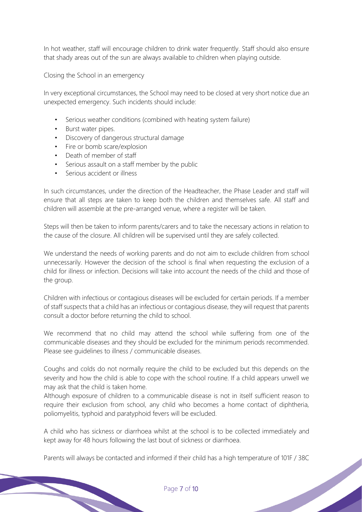In hot weather, staff will encourage children to drink water frequently. Staff should also ensure that shady areas out of the sun are always available to children when playing outside.

Closing the School in an emergency

In very exceptional circumstances, the School may need to be closed at very short notice due an unexpected emergency. Such incidents should include:

- Serious weather conditions (combined with heating system failure)
- Burst water pipes.
- Discovery of dangerous structural damage
- Fire or bomb scare/explosion
- Death of member of staff
- Serious assault on a staff member by the public
- Serious accident or illness

In such circumstances, under the direction of the Headteacher, the Phase Leader and staff will ensure that all steps are taken to keep both the children and themselves safe. All staff and children will assemble at the pre-arranged venue, where a register will be taken.

Steps will then be taken to inform parents/carers and to take the necessary actions in relation to the cause of the closure. All children will be supervised until they are safely collected.

We understand the needs of working parents and do not aim to exclude children from school unnecessarily. However the decision of the school is final when requesting the exclusion of a child for illness or infection. Decisions will take into account the needs of the child and those of the group.

Children with infectious or contagious diseases will be excluded for certain periods. If a member of staff suspects that a child has an infectious or contagious disease, they will request that parents consult a doctor before returning the child to school.

We recommend that no child may attend the school while suffering from one of the communicable diseases and they should be excluded for the minimum periods recommended. Please see guidelines to illness / communicable diseases.

Coughs and colds do not normally require the child to be excluded but this depends on the severity and how the child is able to cope with the school routine. If a child appears unwell we may ask that the child is taken home.

Although exposure of children to a communicable disease is not in itself sufficient reason to require their exclusion from school, any child who becomes a home contact of diphtheria, poliomyelitis, typhoid and paratyphoid fevers will be excluded.

A child who has sickness or diarrhoea whilst at the school is to be collected immediately and kept away for 48 hours following the last bout of sickness or diarrhoea.

Parents will always be contacted and informed if their child has a high temperature of 101F / 38C<br>Page 7 of 10<br>Page 7 of 10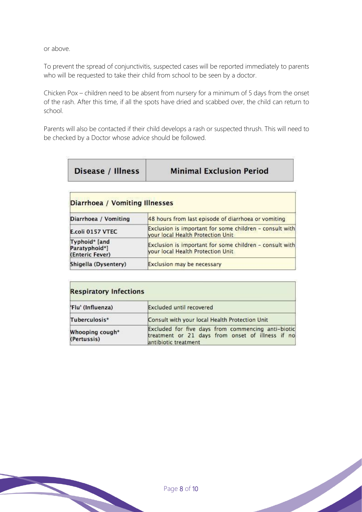or above.

To prevent the spread of conjunctivitis, suspected cases will be reported immediately to parents who will be requested to take their child from school to be seen by a doctor.

Chicken Pox – children need to be absent from nursery for a minimum of 5 days from the onset of the rash. After this time, if all the spots have dried and scabbed over, the child can return to school.

Parents will also be contacted if their child develops a rash or suspected thrush. This will need to be checked by a Doctor whose advice should be followed.

Disease / Illness

**Minimal Exclusion Period** 

| <b>Diarrhoea / Vomiting Illnesses</b>             |                                                                                              |  |
|---------------------------------------------------|----------------------------------------------------------------------------------------------|--|
| Diarrhoea / Vomiting                              | 48 hours from last episode of diarrhoea or vomiting                                          |  |
| E.coli 0157 VTEC                                  | Exclusion is important for some children - consult with<br>your local Health Protection Unit |  |
| Typhoid* [and<br>Paratyphoid*]<br>(Enteric Fever) | Exclusion is important for some children - consult with<br>your local Health Protection Unit |  |
| Shigella (Dysentery)                              | Exclusion may be necessary                                                                   |  |

| <b>Respiratory Infections</b>  |                                                                                                                                |  |  |  |
|--------------------------------|--------------------------------------------------------------------------------------------------------------------------------|--|--|--|
| 'Flu' (Influenza)              | <b>Excluded until recovered</b>                                                                                                |  |  |  |
| Tuberculosis*                  | Consult with your local Health Protection Unit                                                                                 |  |  |  |
| Whooping cough*<br>(Pertussis) | Excluded for five days from commencing anti-biotic<br>treatment or 21 days from onset of illness if no<br>antibiotic treatment |  |  |  |

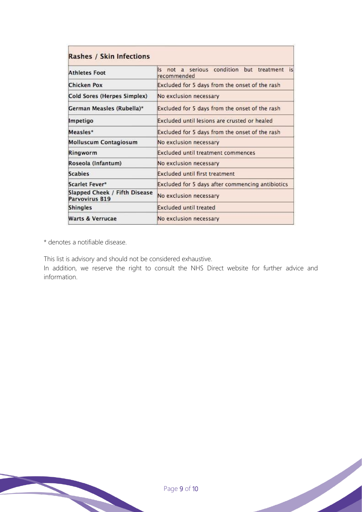| Rashes / Skin Infections                        |                                                                                          |  |  |  |
|-------------------------------------------------|------------------------------------------------------------------------------------------|--|--|--|
| <b>Athletes Foot</b>                            | not a serious condition but treatment<br>$\lvert \varsigma \rvert$<br>is.<br>recommended |  |  |  |
| <b>Chicken Pox</b>                              | Excluded for 5 days from the onset of the rash                                           |  |  |  |
| Cold Sores (Herpes Simplex)                     | No exclusion necessary                                                                   |  |  |  |
| German Measles (Rubella)*                       | Excluded for 5 days from the onset of the rash                                           |  |  |  |
| Impetigo                                        | Excluded until lesions are crusted or healed                                             |  |  |  |
| <b>Measles*</b>                                 | Excluded for 5 days from the onset of the rash                                           |  |  |  |
| <b>Molluscum Contagiosum</b>                    | No exclusion necessary                                                                   |  |  |  |
| Ringworm                                        | <b>Excluded until treatment commences</b>                                                |  |  |  |
| Roseola (Infantum)                              | No exclusion necessary                                                                   |  |  |  |
| <b>Scabies</b>                                  | <b>Excluded until first treatment</b>                                                    |  |  |  |
| Scarlet Fever*                                  | Excluded for 5 days after commencing antibiotics                                         |  |  |  |
| Slapped Cheek / Fifth Disease<br>Parvovirus B19 | No exclusion necessary                                                                   |  |  |  |
| <b>Shingles</b>                                 | <b>Excluded until treated</b>                                                            |  |  |  |
| <b>Warts &amp; Verrucae</b>                     | No exclusion necessary                                                                   |  |  |  |

\* denotes a notifiable disease.

This list is advisory and should not be considered exhaustive.

In addition, we reserve the right to consult the NHS Direct website for further advice and information.